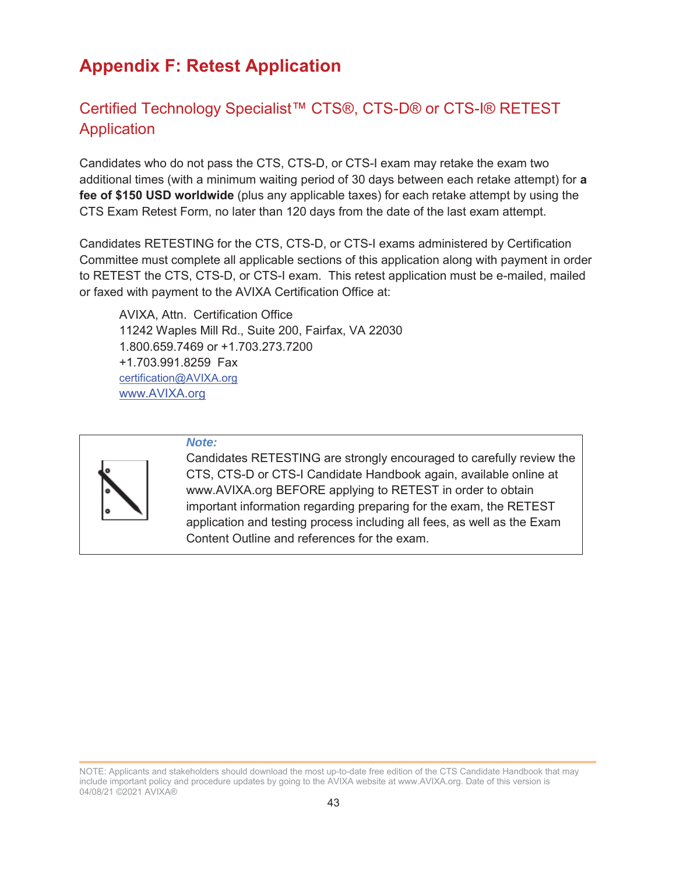# **Appendix F: Retest Application**

## Certified Technology Specialist™ CTS®, CTS-D® or CTS-I® RETEST Application

Candidates who do not pass the CTS, CTS-D, or CTS-I exam may retake the exam two additional times (with a minimum waiting period of 30 days between each retake attempt) for **a fee of \$150 USD worldwide** (plus any applicable taxes) for each retake attempt by using the CTS Exam Retest Form, no later than 120 days from the date of the last exam attempt.

Candidates RETESTING for the CTS, CTS-D, or CTS-I exams administered by Certification Committee must complete all applicable sections of this application along with payment in order to RETEST the CTS, CTS-D, or CTS-I exam. This retest application must be e-mailed, mailed or faxed with payment to the AVIXA Certification Office at:

AVIXA, Attn. Certification Office 11242 Waples Mill Rd., Suite 200, Fairfax, VA 22030 1.800.659.7469 or +1.703.273.7200 +1.703.991.8259 Fax certification@AVIXA.org www.AVIXA.org



#### *Note:*

Candidates RETESTING are strongly encouraged to carefully review the CTS, CTS-D or CTS-I Candidate Handbook again, available online at www.AVIXA.org BEFORE applying to RETEST in order to obtain important information regarding preparing for the exam, the RETEST application and testing process including all fees, as well as the Exam Content Outline and references for the exam.

NOTE: Applicants and stakeholders should download the most up-to-date free edition of the CTS Candidate Handbook that may include important policy and procedure updates by going to the AVIXA website at www.AVIXA.org. Date of this version is 04/08/21 ©2021 AVIXA®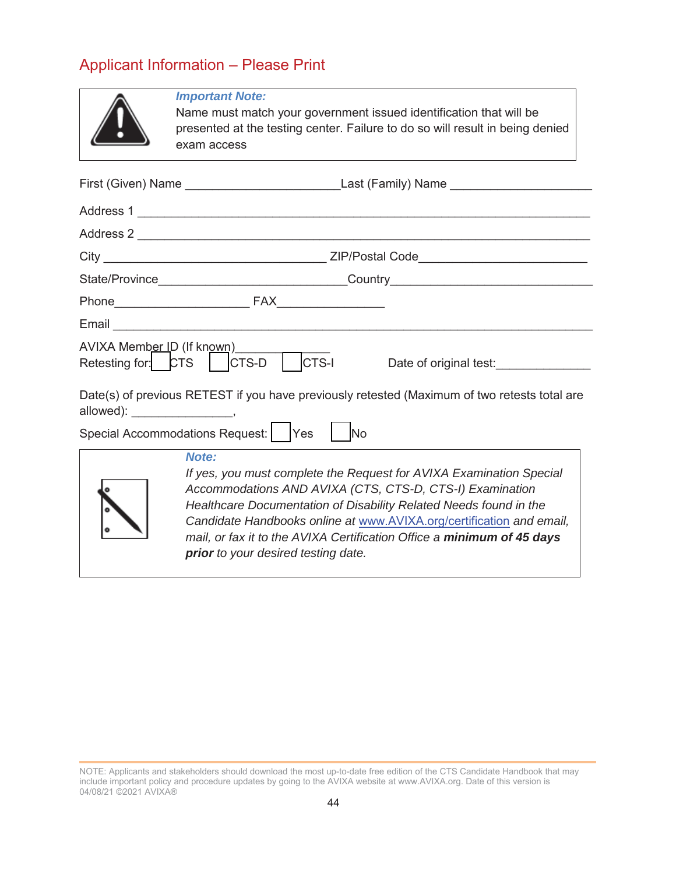# Applicant Information – Please Print

|                                   | <b>Important Note:</b><br>Name must match your government issued identification that will be<br>presented at the testing center. Failure to do so will result in being denied<br>exam access                                                                                                                                                                                                           |  |  |
|-----------------------------------|--------------------------------------------------------------------------------------------------------------------------------------------------------------------------------------------------------------------------------------------------------------------------------------------------------------------------------------------------------------------------------------------------------|--|--|
|                                   |                                                                                                                                                                                                                                                                                                                                                                                                        |  |  |
|                                   |                                                                                                                                                                                                                                                                                                                                                                                                        |  |  |
|                                   | Address 2                                                                                                                                                                                                                                                                                                                                                                                              |  |  |
|                                   |                                                                                                                                                                                                                                                                                                                                                                                                        |  |  |
|                                   |                                                                                                                                                                                                                                                                                                                                                                                                        |  |  |
|                                   |                                                                                                                                                                                                                                                                                                                                                                                                        |  |  |
|                                   |                                                                                                                                                                                                                                                                                                                                                                                                        |  |  |
|                                   | AVIXA Member ID (If known)<br>Retesting for: CTS CTS-D CTS-I<br>Date of original test:_______________                                                                                                                                                                                                                                                                                                  |  |  |
| allowed): ______________________, | Date(s) of previous RETEST if you have previously retested (Maximum of two retests total are                                                                                                                                                                                                                                                                                                           |  |  |
|                                   | Special Accommodations Request:   Yes  <br>No                                                                                                                                                                                                                                                                                                                                                          |  |  |
|                                   | Note:<br>If yes, you must complete the Request for AVIXA Examination Special<br>Accommodations AND AVIXA (CTS, CTS-D, CTS-I) Examination<br>Healthcare Documentation of Disability Related Needs found in the<br>Candidate Handbooks online at www.AVIXA.org/certification and email,<br>mail, or fax it to the AVIXA Certification Office a minimum of 45 days<br>prior to your desired testing date. |  |  |

NOTE: Applicants and stakeholders should download the most up-to-date free edition of the CTS Candidate Handbook that may include important policy and procedure updates by going to the AVIXA website at www.AVIXA.org. Date of this version is 04/08/21 ©2021 AVIXA®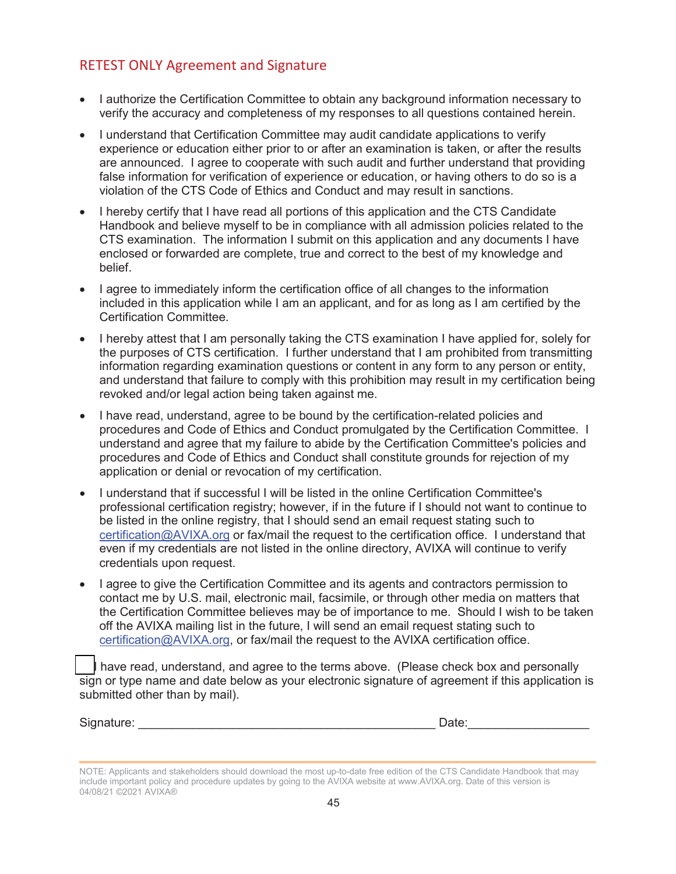### RETEST ONLY Agreement and Signature

- I authorize the Certification Committee to obtain any background information necessary to verify the accuracy and completeness of my responses to all questions contained herein.
- I understand that Certification Committee may audit candidate applications to verify experience or education either prior to or after an examination is taken, or after the results are announced. I agree to cooperate with such audit and further understand that providing false information for verification of experience or education, or having others to do so is a violation of the CTS Code of Ethics and Conduct and may result in sanctions.
- I hereby certify that I have read all portions of this application and the CTS Candidate Handbook and believe myself to be in compliance with all admission policies related to the CTS examination. The information I submit on this application and any documents I have enclosed or forwarded are complete, true and correct to the best of my knowledge and belief.
- I agree to immediately inform the certification office of all changes to the information included in this application while I am an applicant, and for as long as I am certified by the Certification Committee.
- I hereby attest that I am personally taking the CTS examination I have applied for, solely for the purposes of CTS certification. I further understand that I am prohibited from transmitting information regarding examination questions or content in any form to any person or entity, and understand that failure to comply with this prohibition may result in my certification being revoked and/or legal action being taken against me.
- I have read, understand, agree to be bound by the certification-related policies and procedures and Code of Ethics and Conduct promulgated by the Certification Committee. I understand and agree that my failure to abide by the Certification Committee's policies and procedures and Code of Ethics and Conduct shall constitute grounds for rejection of my application or denial or revocation of my certification.
- I understand that if successful I will be listed in the online Certification Committee's professional certification registry; however, if in the future if I should not want to continue to be listed in the online registry, that I should send an email request stating such to certification@AVIXA.org or fax/mail the request to the certification office. I understand that even if my credentials are not listed in the online directory, AVIXA will continue to verify credentials upon request.
- I agree to give the Certification Committee and its agents and contractors permission to contact me by U.S. mail, electronic mail, facsimile, or through other media on matters that the Certification Committee believes may be of importance to me. Should I wish to be taken off the AVIXA mailing list in the future, I will send an email request stating such to certification@AVIXA.org, or fax/mail the request to the AVIXA certification office.

I have read, understand, and agree to the terms above. (Please check box and personally sign or type name and date below as your electronic signature of agreement if this application is submitted other than by mail).

| Signature: |  |
|------------|--|

| Signature: | Date: |
|------------|-------|
|            |       |

NOTE: Applicants and stakeholders should download the most up-to-date free edition of the CTS Candidate Handbook that may include important policy and procedure updates by going to the AVIXA website at www.AVIXA.org. Date of this version is 04/08/21 ©2021 AVIXA®